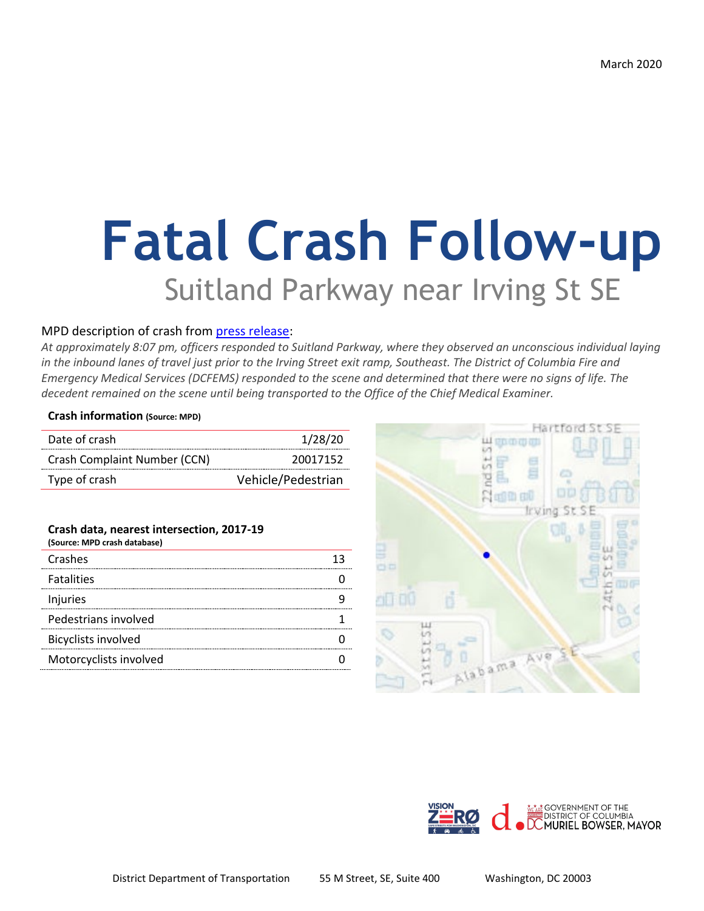# **Fatal Crash Follow-up** Suitland Parkway near Irving St SE

#### MPD description of crash from [press release:](https://mpdc.dc.gov/release/traffic-fatality-1400-block-north-capitol-street-northeast)

*At approximately 8:07 pm, officers responded to Suitland Parkway, where they observed an unconscious individual laying in the inbound lanes of travel just prior to the Irving Street exit ramp, Southeast. The District of Columbia Fire and Emergency Medical Services (DCFEMS) responded to the scene and determined that there were no signs of life. The decedent remained on the scene until being transported to the Office of the Chief Medical Examiner.* 

#### **Crash information (Source: MPD)**

| Date of crash                | 1/28/20            |
|------------------------------|--------------------|
| Crash Complaint Number (CCN) | 20017152           |
| Type of crash                | Vehicle/Pedestrian |

#### **Crash data, nearest intersection, 2017-19**

| (Source: MPD crash database) |  |
|------------------------------|--|
| Crashes                      |  |
| <b>Fatalities</b>            |  |
| Injuries                     |  |
| Pedestrians involved         |  |
| <b>Bicyclists involved</b>   |  |
| Motorcyclists involved       |  |